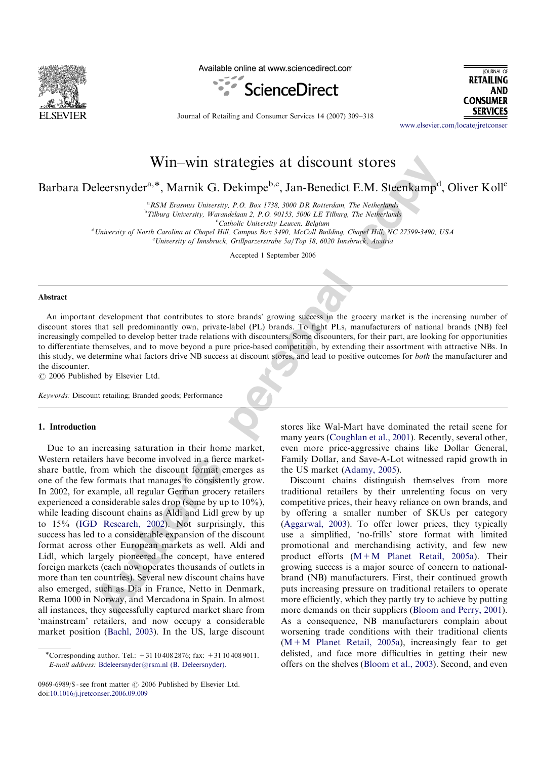

Available online at www.sciencedirect.com





Journal of Retailing and Consumer Services 14 (2007) 309–318

www.elsevier.com/locate/jretconser

# Win–win strategies at discount stores

Barbara Deleersnyder<sup>a,\*</sup>, Marnik G. Dekimpe<sup>b,c</sup>, Jan-Benedict E.M. Steenkamp<sup>d</sup>, Oliver Koll<sup>e</sup>

<sup>a</sup>*RSM Erasmus University, P.O. Box 1738, 3000 DR Rotterdam, The Netherlands*

<sup>b</sup>*Tilburg University, Warandelaan 2, P.O. 90153, 5000 LE Tilburg, The Netherlands*

<sup>c</sup>*Catholic University Leuven, Belgium*

<sup>d</sup>*University of North Carolina at Chapel Hill, Campus Box 3490, McColl Building, Chapel Hill, NC 27599-3490, USA*

<sup>e</sup>*University of Innsbruck, Grillparzerstrabe 5a/Top 18, 6020 Innsbruck, Austria*

Accepted 1 September 2006

#### Abstract

An important development that contributes to store brands' growing success in the grocery market is the increasing number of discount stores that sell predominantly own, private-label (PL) brands. To fight PLs, manufacturers of national brands (NB) feel increasingly compelled to develop better trade relations with discounters. Some discounters, for their part, are looking for opportunities to differentiate themselves, and to move beyond a pure price-based competition, by extending their assortment with attractive NBs. In this study, we determine what factors drive NB success at discount stores, and lead to positive outcomes for *both* the manufacturer and the discounter.

 $\odot$  2006 Published by Elsevier Ltd.

*Keywords:* Discount retailing; Branded goods; Performance

#### 1. Introduction

**Win—win strategies at discount stores**<br>  $\mathbf{W}_{\text{imp}} = \mathbf{W}_{\text{IM}} \mathbf{H}_{\text{imp}} = \mathbf{W}_{\text{IM}} \mathbf{H}_{\text{imp}}$ <br>  $\mathbf{W}_{\text{M}} = \mathbf{W}_{\text{M}} \mathbf{H}_{\text{imp}}$ ,  $\mathbf{W}_{\text{M}} = \mathbf{W}_{\text{M}} \mathbf{H}_{\text{imp}}$ ,  $\mathbf{W}_{\text{M}} = \mathbf{W}_{\text{M}} \mathbf{H}_{\text{imp}}$ ,  $\mathbf{$ Due to an increasing saturation in their home market, Western retailers have become involved in a fierce marketshare battle, from which the discount format emerges as one of the few formats that manages to consistently grow. In 2002, for example, all regular German grocery retailers experienced a considerable sales drop (some by up to 10%), while leading discount chains as Aldi and Lidl grew by up to 15% (IGD Research, 2002). Not surprisingly, this success has led to a considerable expansion of the discount format across other European markets as well. Aldi and Lidl, which largely pioneered the concept, have entered foreign markets (each now operates thousands of outlets in more than ten countries). Several new discount chains have also emerged, such as Dia in France, Netto in Denmark, Rema 1000 in Norway, and Mercadona in Spain. In almost all instances, they successfully captured market share from 'mainstream' retailers, and now occupy a considerable market position (Bachl, 2003). In the US, large discount

stores like Wal-Mart have dominated the retail scene for many years (Coughlan et al., 2001). Recently, several other, even more price-aggressive chains like Dollar General, Family Dollar, and Save-A-Lot witnessed rapid growth in the US market (Adamy, 2005).

Discount chains distinguish themselves from more traditional retailers by their unrelenting focus on very competitive prices, their heavy reliance on own brands, and by offering a smaller number of SKUs per category (Aggarwal, 2003). To offer lower prices, they typically use a simplified, 'no-frills' store format with limited promotional and merchandising activity, and few new product efforts  $(M+M)$  Planet Retail, 2005a). Their growing success is a major source of concern to nationalbrand (NB) manufacturers. First, their continued growth puts increasing pressure on traditional retailers to operate more efficiently, which they partly try to achieve by putting more demands on their suppliers (Bloom and Perry, 2001). As a consequence, NB manufacturers complain about worsening trade conditions with their traditional clients  $(M+M)$  Planet Retail, 2005a), increasingly fear to get delisted, and face more difficulties in getting their new offers on the shelves (Bloom et al., 2003). Second, and even

<sup>-</sup>Corresponding author. Tel.: +31 10 408 2876; fax: +31 10 408 9011. *E-mail address:* Bdeleersnyder@rsm.nl (B. Deleersnyder).

<sup>0969-6989/\$ -</sup> see front matter  $\odot$  2006 Published by Elsevier Ltd. doi:10.1016/j.jretconser.2006.09.009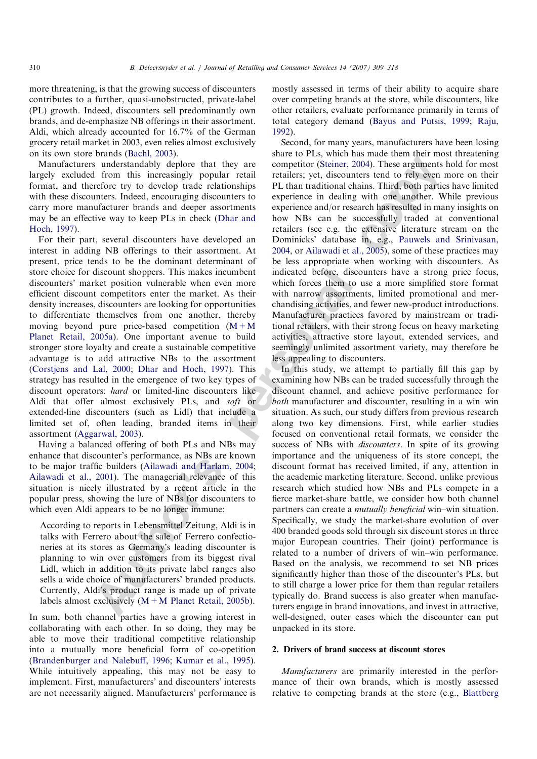more threatening, is that the growing success of discounters contributes to a further, quasi-unobstructed, private-label (PL) growth. Indeed, discounters sell predominantly own brands, and de-emphasize NB offerings in their assortment. Aldi, which already accounted for 16.7% of the German grocery retail market in 2003, even relies almost exclusively on its own store brands (Bachl, 2003).

Manufacturers understandably deplore that they are largely excluded from this increasingly popular retail format, and therefore try to develop trade relationships with these discounters. Indeed, encouraging discounters to carry more manufacturer brands and deeper assortments may be an effective way to keep PLs in check (Dhar and Hoch, 1997).

For their part, several discounters have developed an interest in adding NB offerings to their assortment. At present, price tends to be the dominant determinant of store choice for discount shoppers. This makes incumbent discounters' market position vulnerable when even more efficient discount competitors enter the market. As their density increases, discounters are looking for opportunities to differentiate themselves from one another, thereby moving beyond pure price-based competition  $(M+M)$ Planet Retail, 2005a). One important avenue to build stronger store loyalty and create a sustainable competitive advantage is to add attractive NBs to the assortment (Corstjens and Lal, 2000; Dhar and Hoch, 1997). This strategy has resulted in the emergence of two key types of discount operators: *hard* or limited-line discounters like Aldi that offer almost exclusively PLs, and *soft* or extended-line discounters (such as Lidl) that include a limited set of, often leading, branded items in their assortment (Aggarwal, 2003).

Having a balanced offering of both PLs and NBs may enhance that discounter's performance, as NBs are known to be major traffic builders (Ailawadi and Harlam, 2004; Ailawadi et al., 2001). The managerial relevance of this situation is nicely illustrated by a recent article in the popular press, showing the lure of NBs for discounters to which even Aldi appears to be no longer immune:

According to reports in Lebensmittel Zeitung, Aldi is in talks with Ferrero about the sale of Ferrero confectioneries at its stores as Germany's leading discounter is planning to win over customers from its biggest rival Lidl, which in addition to its private label ranges also sells a wide choice of manufacturers' branded products. Currently, Aldi's product range is made up of private labels almost exclusively  $(M+M)$  Planet Retail, 2005b).

In sum, both channel parties have a growing interest in collaborating with each other. In so doing, they may be able to move their traditional competitive relationship into a mutually more beneficial form of co-opetition (Brandenburger and Nalebuff, 1996; Kumar et al., 1995). While intuitively appealing, this may not be easy to implement. First, manufacturers' and discounters' interests are not necessarily aligned. Manufacturers' performance is mostly assessed in terms of their ability to acquire share over competing brands at the store, while discounters, like other retailers, evaluate performance primarily in terms of total category demand (Bayus and Putsis, 1999; Raju, 1992).

Second, for many years, manufacturers have been losing share to PLs, which has made them their most threatening competitor (Steiner, 2004). These arguments hold for most retailers; yet, discounters tend to rely even more on their PL than traditional chains. Third, both parties have limited experience in dealing with one another. While previous experience and/or research has resulted in many insights on how NBs can be successfully traded at conventional retailers (see e.g. the extensive literature stream on the Dominicks' database in, e.g., Pauwels and Srinivasan, 2004, or Ailawadi et al., 2005), some of these practices may be less appropriate when working with discounters. As indicated before, discounters have a strong price focus, which forces them to use a more simplified store format with narrow assortments, limited promotional and merchandising activities, and fewer new-product introductions. Manufacturer practices favored by mainstream or traditional retailers, with their strong focus on heavy marketing activities, attractive store layout, extended services, and seemingly unlimited assortment variety, may therefore be less appealing to discounters.

**Munderlindthy** deglobe that they are competition that a control in<br>The magnetic state of the state and the state of the state of the state<br>interference by to develop the colonging discounter real results: St. discounters In this study, we attempt to partially fill this gap by examining how NBs can be traded successfully through the discount channel, and achieve positive performance for *both* manufacturer and discounter, resulting in a win–win situation. As such, our study differs from previous research along two key dimensions. First, while earlier studies focused on conventional retail formats, we consider the success of NBs with *discounters*. In spite of its growing importance and the uniqueness of its store concept, the discount format has received limited, if any, attention in the academic marketing literature. Second, unlike previous research which studied how NBs and PLs compete in a fierce market-share battle, we consider how both channel partners can create a *mutually beneficial* win–win situation. Specifically, we study the market-share evolution of over 400 branded goods sold through six discount stores in three major European countries. Their (joint) performance is related to a number of drivers of win–win performance. Based on the analysis, we recommend to set NB prices significantly higher than those of the discounter's PLs, but to still charge a lower price for them than regular retailers typically do. Brand success is also greater when manufacturers engage in brand innovations, and invest in attractive, well-designed, outer cases which the discounter can put unpacked in its store.

## 2. Drivers of brand success at discount stores

*Manufacturers* are primarily interested in the performance of their own brands, which is mostly assessed relative to competing brands at the store (e.g., Blattberg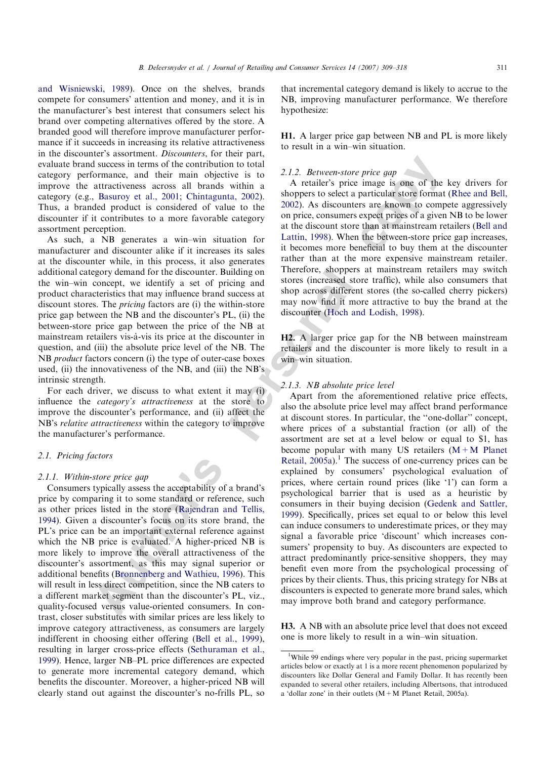and Wisniewski, 1989). Once on the shelves, brands compete for consumers' attention and money, and it is in the manufacturer's best interest that consumers select his brand over competing alternatives offered by the store. A branded good will therefore improve manufacturer performance if it succeeds in increasing its relative attractiveness in the discounter's assortment. *Discounters*, for their part, evaluate brand success in terms of the contribution to total category performance, and their main objective is to improve the attractiveness across all brands within a category (e.g., Basuroy et al., 2001; Chintagunta, 2002). Thus, a branded product is considered of value to the discounter if it contributes to a more favorable category assortment perception.

As such, a NB generates a win–win situation for manufacturer and discounter alike if it increases its sales at the discounter while, in this process, it also generates additional category demand for the discounter. Building on the win–win concept, we identify a set of pricing and product characteristics that may influence brand success at discount stores. The *pricing* factors are (i) the within-store price gap between the NB and the discounter's PL, (ii) the between-store price gap between the price of the NB at mainstream retailers vis-à-vis its price at the discounter in question, and (iii) the absolute price level of the NB. The NB *product* factors concern (i) the type of outer-case boxes used, (ii) the innovativeness of the NB, and (iii) the NB's intrinsic strength.

For each driver, we discuss to what extent it may (i) influence the *category's attractiveness* at the store to improve the discounter's performance, and (ii) affect the NB's *relative attractiveness* within the category to improve the manufacturer's performance.

#### *2.1. Pricing factors*

## *2.1.1. Within-store price gap*

Consumers typically assess the acceptability of a brand's price by comparing it to some standard or reference, such as other prices listed in the store (Rajendran and Tellis, 1994). Given a discounter's focus on its store brand, the PL's price can be an important external reference against which the NB price is evaluated. A higher-priced NB is more likely to improve the overall attractiveness of the discounter's assortment, as this may signal superior or additional benefits (Bronnenberg and Wathieu, 1996). This will result in less direct competition, since the NB caters to a different market segment than the discounter's PL, viz., quality-focused versus value-oriented consumers. In contrast, closer substitutes with similar prices are less likely to improve category attractiveness, as consumers are largely indifferent in choosing either offering (Bell et al., 1999), resulting in larger cross-price effects (Sethuraman et al., 1999). Hence, larger NB–PL price differences are expected to generate more incremental category demand, which benefits the discounter. Moreover, a higher-priced NB will clearly stand out against the discounter's no-frills PL, so that incremental category demand is likely to accrue to the NB, improving manufacturer performance. We therefore hypothesize:

H1. A larger price gap between NB and PL is more likely to result in a win–win situation.

#### *2.1.2. Between-store price gap*

A retailer's price image is one of the key drivers for shoppers to select a particular store format (Rhee and Bell, 2002). As discounters are known to compete aggressively on price, consumers expect prices of a given NB to be lower at the discount store than at mainstream retailers (Bell and Lattin, 1998). When the between-store price gap increases, it becomes more beneficial to buy them at the discounter rather than at the more expensive mainstream retailer. Therefore, shoppers at mainstream retailers may switch stores (increased store traffic), while also consumers that shop across different stores (the so-called cherry pickers) may now find it more attractive to buy the brand at the discounter (Hoch and Lodish, 1998).

H2. A larger price gap for the NB between mainstream retailers and the discounter is more likely to result in a win–win situation.

# *2.1.3. NB absolute price level*

**Automative in terms of the contribution is both and solven in the control and a real and of the control and a real and the multi-both specific and a real and the multi-both specific and a real and the specific specific an** Apart from the aforementioned relative price effects, also the absolute price level may affect brand performance at discount stores. In particular, the ''one-dollar'' concept, where prices of a substantial fraction (or all) of the assortment are set at a level below or equal to \$1, has become popular with many US retailers  $(M+M)$  Planet Retail,  $2005a$ .<sup>1</sup> The success of one-currency prices can be explained by consumers' psychological evaluation of prices, where certain round prices (like '1') can form a psychological barrier that is used as a heuristic by consumers in their buying decision (Gedenk and Sattler, 1999). Specifically, prices set equal to or below this level can induce consumers to underestimate prices, or they may signal a favorable price 'discount' which increases consumers' propensity to buy. As discounters are expected to attract predominantly price-sensitive shoppers, they may benefit even more from the psychological processing of prices by their clients. Thus, this pricing strategy for NBs at discounters is expected to generate more brand sales, which may improve both brand and category performance.

> H3. A NB with an absolute price level that does not exceed one is more likely to result in a win–win situation.

<sup>&</sup>lt;sup>1</sup>While 99 endings where very popular in the past, pricing supermarket articles below or exactly at 1 is a more recent phenomenon popularized by discounters like Dollar General and Family Dollar. It has recently been expanded to several other retailers, including Albertsons, that introduced a 'dollar zone' in their outlets (M+M Planet Retail, 2005a).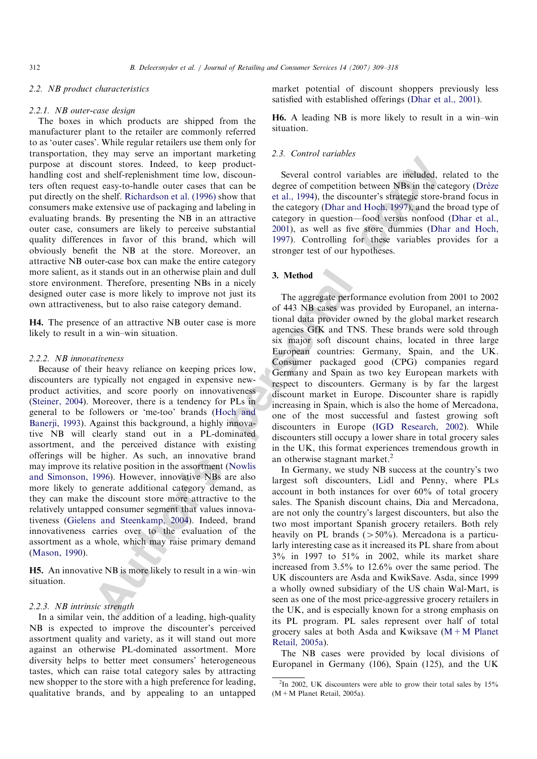# *2.2. NB product characteristics*

#### *2.2.1. NB outer-case design*

The boxes in which products are shipped from the manufacturer plant to the retailer are commonly referred to as 'outer cases'. While regular retailers use them only for transportation, they may serve an important marketing purpose at discount stores. Indeed, to keep producthandling cost and shelf-replenishment time low, discounters often request easy-to-handle outer cases that can be put directly on the shelf. Richardson et al. (1996) show that consumers make extensive use of packaging and labeling in evaluating brands. By presenting the NB in an attractive outer case, consumers are likely to perceive substantial quality differences in favor of this brand, which will obviously benefit the NB at the store. Moreover, an attractive NB outer-case box can make the entire category more salient, as it stands out in an otherwise plain and dull store environment. Therefore, presenting NBs in a nicely designed outer case is more likely to improve not just its own attractiveness, but to also raise category demand.

H4. The presence of an attractive NB outer case is more likely to result in a win–win situation.

#### *2.2.2. NB innovativeness*

count stock. Labed, to keep nothers<br>are the stock of the stock of the stock of the stock of the stock of the<br>state and state-plemishment time length (since the stock of the stock of<br>state and state-plemishment time length Because of their heavy reliance on keeping prices low, discounters are typically not engaged in expensive newproduct activities, and score poorly on innovativeness (Steiner, 2004). Moreover, there is a tendency for PLs in general to be followers or 'me-too' brands (Hoch and Banerji, 1993). Against this background, a highly innovative NB will clearly stand out in a PL-dominated assortment, and the perceived distance with existing offerings will be higher. As such, an innovative brand may improve its relative position in the assortment (Nowlis and Simonson, 1996). However, innovative NBs are also more likely to generate additional category demand, as they can make the discount store more attractive to the relatively untapped consumer segment that values innovativeness (Gielens and Steenkamp, 2004). Indeed, brand innovativeness carries over to the evaluation of the assortment as a whole, which may raise primary demand (Mason, 1990).

H5. An innovative NB is more likely to result in a win–win situation.

#### *2.2.3. NB intrinsic strength*

In a similar vein, the addition of a leading, high-quality NB is expected to improve the discounter's perceived assortment quality and variety, as it will stand out more against an otherwise PL-dominated assortment. More diversity helps to better meet consumers' heterogeneous tastes, which can raise total category sales by attracting new shopper to the store with a high preference for leading, qualitative brands, and by appealing to an untapped market potential of discount shoppers previously less satisfied with established offerings (Dhar et al., 2001).

H6. A leading NB is more likely to result in a win–win situation.

# *2.3. Control variables*

Several control variables are included, related to the degree of competition between NBs in the category (Drèze et al., 1994), the discounter's strategic store-brand focus in the category (Dhar and Hoch, 1997), and the broad type of category in question—food versus nonfood (Dhar et al., 2001), as well as five store dummies (Dhar and Hoch, 1997). Controlling for these variables provides for a stronger test of our hypotheses.

# 3. Method

The aggregate performance evolution from 2001 to 2002 of 443 NB cases was provided by Europanel, an international data provider owned by the global market research agencies GfK and TNS. These brands were sold through six major soft discount chains, located in three large European countries: Germany, Spain, and the UK. Consumer packaged good (CPG) companies regard Germany and Spain as two key European markets with respect to discounters. Germany is by far the largest discount market in Europe. Discounter share is rapidly increasing in Spain, which is also the home of Mercadona, one of the most successful and fastest growing soft discounters in Europe (IGD Research, 2002). While discounters still occupy a lower share in total grocery sales in the UK, this format experiences tremendous growth in an otherwise stagnant market.<sup>2</sup>

In Germany, we study NB success at the country's two largest soft discounters, Lidl and Penny, where PLs account in both instances for over 60% of total grocery sales. The Spanish discount chains, Dia and Mercadona, are not only the country's largest discounters, but also the two most important Spanish grocery retailers. Both rely heavily on PL brands  $(50\%)$ . Mercadona is a particularly interesting case as it increased its PL share from about 3% in 1997 to 51% in 2002, while its market share increased from 3.5% to 12.6% over the same period. The UK discounters are Asda and KwikSave. Asda, since 1999 a wholly owned subsidiary of the US chain Wal-Mart, is seen as one of the most price-aggressive grocery retailers in the UK, and is especially known for a strong emphasis on its PL program. PL sales represent over half of total grocery sales at both Asda and Kwiksave  $(M+M)$  Planet Retail, 2005a).

The NB cases were provided by local divisions of Europanel in Germany (106), Spain (125), and the UK

 $2$ In 2002, UK discounters were able to grow their total sales by 15%  $(M+M)$  Planet Retail, 2005a).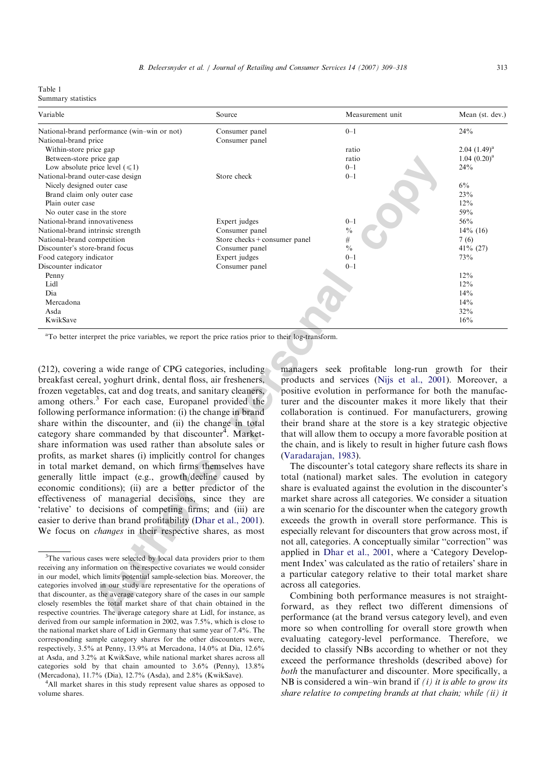| Table 1            |  |
|--------------------|--|
| Summary statistics |  |

| Variable                                                                                                                                                                                                                                                                                                                                                                                                                                                                                                     | Source                           | Measurement unit                                                                                                              | Mean (st. dev.)     |  |  |
|--------------------------------------------------------------------------------------------------------------------------------------------------------------------------------------------------------------------------------------------------------------------------------------------------------------------------------------------------------------------------------------------------------------------------------------------------------------------------------------------------------------|----------------------------------|-------------------------------------------------------------------------------------------------------------------------------|---------------------|--|--|
| National-brand performance (win-win or not)<br>National-brand price                                                                                                                                                                                                                                                                                                                                                                                                                                          | Consumer panel<br>Consumer panel | $0 - 1$                                                                                                                       | 24%                 |  |  |
| Within-store price gap                                                                                                                                                                                                                                                                                                                                                                                                                                                                                       |                                  | ratio                                                                                                                         | $2.04$ $(1.49)^{a}$ |  |  |
| Between-store price gap                                                                                                                                                                                                                                                                                                                                                                                                                                                                                      |                                  | ratio                                                                                                                         | $1.04~(0.20)^a$     |  |  |
| Low absolute price level $(\leq 1)$                                                                                                                                                                                                                                                                                                                                                                                                                                                                          |                                  | $0 - 1$                                                                                                                       | 24%                 |  |  |
| National-brand outer-case design                                                                                                                                                                                                                                                                                                                                                                                                                                                                             | Store check                      | $0 - 1$                                                                                                                       |                     |  |  |
| Nicely designed outer case                                                                                                                                                                                                                                                                                                                                                                                                                                                                                   |                                  |                                                                                                                               | 6%                  |  |  |
| Brand claim only outer case                                                                                                                                                                                                                                                                                                                                                                                                                                                                                  |                                  |                                                                                                                               | 23%                 |  |  |
| Plain outer case                                                                                                                                                                                                                                                                                                                                                                                                                                                                                             |                                  |                                                                                                                               | 12%                 |  |  |
| No outer case in the store                                                                                                                                                                                                                                                                                                                                                                                                                                                                                   |                                  |                                                                                                                               | 59%                 |  |  |
| National-brand innovativeness                                                                                                                                                                                                                                                                                                                                                                                                                                                                                | Expert judges                    | $0 - 1$                                                                                                                       | 56%                 |  |  |
| National-brand intrinsic strength                                                                                                                                                                                                                                                                                                                                                                                                                                                                            | Consumer panel                   | $\frac{0}{0}$                                                                                                                 | $14\%$ (16)         |  |  |
| National-brand competition                                                                                                                                                                                                                                                                                                                                                                                                                                                                                   | Store checks + consumer panel    | $\#$                                                                                                                          | 7(6)                |  |  |
| Discounter's store-brand focus                                                                                                                                                                                                                                                                                                                                                                                                                                                                               | Consumer panel                   | $\sqrt[0]{\hskip -1.0pt 0}$                                                                                                   | $41\%$ (27)         |  |  |
| Food category indicator                                                                                                                                                                                                                                                                                                                                                                                                                                                                                      | Expert judges                    | $0 - 1$                                                                                                                       | 73%                 |  |  |
| Discounter indicator                                                                                                                                                                                                                                                                                                                                                                                                                                                                                         | Consumer panel                   | $0 - 1$                                                                                                                       |                     |  |  |
| Penny                                                                                                                                                                                                                                                                                                                                                                                                                                                                                                        |                                  |                                                                                                                               | 12%                 |  |  |
| Lidl                                                                                                                                                                                                                                                                                                                                                                                                                                                                                                         |                                  |                                                                                                                               | 12%                 |  |  |
| Dia                                                                                                                                                                                                                                                                                                                                                                                                                                                                                                          |                                  |                                                                                                                               | 14%                 |  |  |
| Mercadona                                                                                                                                                                                                                                                                                                                                                                                                                                                                                                    |                                  |                                                                                                                               | 14%                 |  |  |
| Asda                                                                                                                                                                                                                                                                                                                                                                                                                                                                                                         |                                  |                                                                                                                               | 32%                 |  |  |
| KwikSave                                                                                                                                                                                                                                                                                                                                                                                                                                                                                                     |                                  |                                                                                                                               | 16%                 |  |  |
| frozen vegetables, cat and dog treats, and sanitary cleaners,<br>positive evolution in performance for both the manufac-<br>among others. <sup>3</sup> For each case, Europanel provided the<br>turer and the discounter makes it more likely that their<br>following performance information: (i) the change in brand<br>collaboration is continued. For manufacturers, growing<br>share within the discounter, and (ii) the change in total<br>their brand share at the store is a key strategic objective |                                  |                                                                                                                               |                     |  |  |
| category share commanded by that discounter <sup>4</sup> . Market-<br>share information was used rather than absolute sales or                                                                                                                                                                                                                                                                                                                                                                               |                                  | that will allow them to occupy a more favorable position at<br>the chain, and is likely to result in higher future cash flows |                     |  |  |
| profits, as market shares (i) implicitly control for changes                                                                                                                                                                                                                                                                                                                                                                                                                                                 |                                  | (Varadarajan, 1983).                                                                                                          |                     |  |  |
| in total market demand, on which firms themselves have                                                                                                                                                                                                                                                                                                                                                                                                                                                       |                                  | The discounter's total category share reflects its share in                                                                   |                     |  |  |
| generally little impact (e.g., growth/decline caused by                                                                                                                                                                                                                                                                                                                                                                                                                                                      |                                  | total (national) market sales. The evolution in category                                                                      |                     |  |  |
| economic conditions); (ii) are a better predictor of the                                                                                                                                                                                                                                                                                                                                                                                                                                                     |                                  | share is evaluated against the evolution in the discounter's                                                                  |                     |  |  |
| effectiveness of managerial decisions, since they are                                                                                                                                                                                                                                                                                                                                                                                                                                                        |                                  | market share across all categories. We consider a situation                                                                   |                     |  |  |
|                                                                                                                                                                                                                                                                                                                                                                                                                                                                                                              |                                  |                                                                                                                               |                     |  |  |
| 'relative' to decisions of competing firms; and (iii) are                                                                                                                                                                                                                                                                                                                                                                                                                                                    |                                  | a win scenario for the discounter when the category growth                                                                    |                     |  |  |
| easier to derive than brand profitability (Dhar et al., 2001).                                                                                                                                                                                                                                                                                                                                                                                                                                               |                                  | exceeds the growth in overall store performance. This is                                                                      |                     |  |  |
| We focus on <i>changes</i> in their respective shares, as most                                                                                                                                                                                                                                                                                                                                                                                                                                               |                                  | especially relevant for discounters that grow across most, if                                                                 |                     |  |  |
|                                                                                                                                                                                                                                                                                                                                                                                                                                                                                                              |                                  | not all, categories. A conceptually similar "correction" was                                                                  |                     |  |  |
|                                                                                                                                                                                                                                                                                                                                                                                                                                                                                                              |                                  | applied in Dhar et al., 2001, where a 'Category Develop-                                                                      |                     |  |  |
| <sup>3</sup> The various cases were selected by local data providers prior to them                                                                                                                                                                                                                                                                                                                                                                                                                           |                                  | ment Index' was calculated as the ratio of retailers' share in                                                                |                     |  |  |
| receiving any information on the respective covariates we would consider                                                                                                                                                                                                                                                                                                                                                                                                                                     |                                  |                                                                                                                               |                     |  |  |
| in our model, which limits potential sample-selection bias. Moreover, the                                                                                                                                                                                                                                                                                                                                                                                                                                    |                                  | a particular category relative to their total market share                                                                    |                     |  |  |
| categories involved in our study are representative for the operations of                                                                                                                                                                                                                                                                                                                                                                                                                                    |                                  | across all categories.                                                                                                        |                     |  |  |
| that discounter, as the average category share of the cases in our sample                                                                                                                                                                                                                                                                                                                                                                                                                                    |                                  | Combining both performance measures is not straight-                                                                          |                     |  |  |
| closely resembles the total market share of that chain obtained in the                                                                                                                                                                                                                                                                                                                                                                                                                                       |                                  | forward, as they reflect two different dimensions of                                                                          |                     |  |  |
| respective countries. The average category share at Lidl, for instance, as                                                                                                                                                                                                                                                                                                                                                                                                                                   |                                  | performance (at the brand versus estegery level) and gyon                                                                     |                     |  |  |

Combining both performance measures is not straightforward, as they reflect two different dimensions of performance (at the brand versus category level), and even more so when controlling for overall store growth when evaluating category-level performance. Therefore, we decided to classify NBs according to whether or not they exceed the performance thresholds (described above) for *both* the manufacturer and discounter. More specifically, a NB is considered a win–win brand if *(i) it is able to grow its share relative to competing brands at that chain; while (ii) it*

<sup>&</sup>lt;sup>3</sup>The various cases were selected by local data providers prior to them receiving any information on the respective covariates we would consider in our model, which limits potential sample-selection bias. Moreover, the categories involved in our study are representative for the operations of that discounter, as the average category share of the cases in our sample closely resembles the total market share of that chain obtained in the respective countries. The average category share at Lidl, for instance, as derived from our sample information in 2002, was 7.5%, which is close to the national market share of Lidl in Germany that same year of 7.4%. The corresponding sample category shares for the other discounters were, respectively, 3.5% at Penny, 13.9% at Mercadona, 14.0% at Dia, 12.6% at Asda, and 3.2% at KwikSave, while national market shares across all categories sold by that chain amounted to 3.6% (Penny), 13.8% (Mercadona), 11.7% (Dia), 12.7% (Asda), and 2.8% (KwikSave).

<sup>&</sup>lt;sup>4</sup>All market shares in this study represent value shares as opposed to volume shares.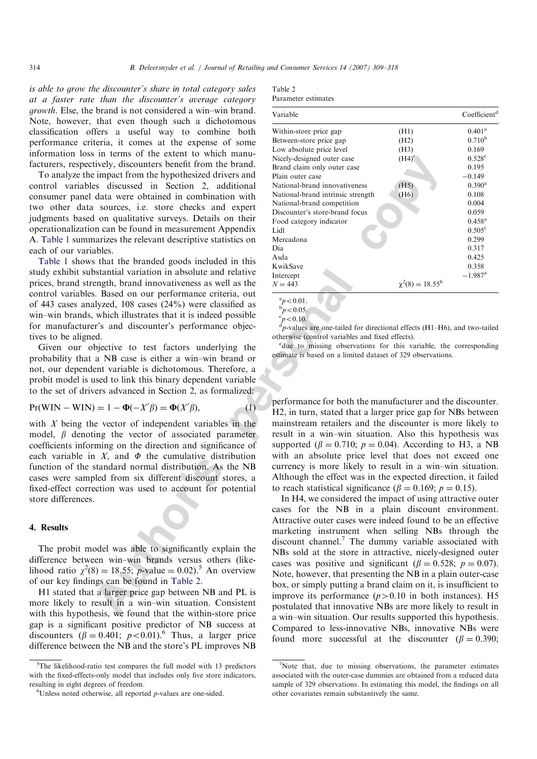*is able to grow the discounter's share in total category sales at a faster rate than the discounter's average category growth*. Else, the brand is not considered a win–win brand. Note, however, that even though such a dichotomous classification offers a useful way to combine both performance criteria, it comes at the expense of some information loss in terms of the extent to which manufacturers, respectively, discounters benefit from the brand.

To analyze the impact from the hypothesized drivers and control variables discussed in Section 2, additional consumer panel data were obtained in combination with two other data sources, i.e. store checks and expert judgments based on qualitative surveys. Details on their operationalization can be found in measurement Appendix A. Table 1 summarizes the relevant descriptive statistics on each of our variables.

Table 1 shows that the branded goods included in this study exhibit substantial variation in absolute and relative prices, brand strength, brand innovativeness as well as the control variables. Based on our performance criteria, out of 443 cases analyzed, 108 cases (24%) were classified as win–win brands, which illustrates that it is indeed possible for manufacturer's and discounter's performance objectives to be aligned.

Given our objective to test factors underlying the probability that a NB case is either a win–win brand or not, our dependent variable is dichotomous. Therefore, a probit model is used to link this binary dependent variable to the set of drivers advanced in Section 2, as formalized:

$$
Pr(WIN - WIN) = 1 - \Phi(-X'\beta) = \Phi(X'\beta),
$$
 (1)

with *X* being the vector of independent variables in the model,  $\beta$  denoting the vector of associated parameter coefficients informing on the direction and significance of each variable in  $X$ , and  $\Phi$  the cumulative distribution function of the standard normal distribution. As the NB cases were sampled from six different discount stores, a fixed-effect correction was used to account for potential store differences.

# 4. Results

The probit model was able to significantly explain the difference between win–win brands versus others (likelihood ratio  $\chi^2(8) = 18.55$ ; *p*-value = 0.02).<sup>5</sup> An overview of our key findings can be found in Table 2.

H1 stated that a larger price gap between NB and PL is more likely to result in a win–win situation. Consistent with this hypothesis, we found that the within-store price gap is a significant positive predictor of NB success at discounters  $(\beta = 0.401; p < 0.01)$ .<sup>6</sup> Thus, a larger price difference between the NB and the store's PL improves NB

| rabie z             |  |
|---------------------|--|
| Parameter estimates |  |

 $T<sub>1</sub>$   $T<sub>2</sub>$ 

| man inconscounter's accrage calegory                                                                                                                                                                                                                                                                                                                                                                                                                                    |                                                                                                                                                                                                                                                                                                                                                                                                                                                                                                                                                                                                                                                                                                                                                                                                                                                                                               |                                             |                                                                                                                                                              |
|-------------------------------------------------------------------------------------------------------------------------------------------------------------------------------------------------------------------------------------------------------------------------------------------------------------------------------------------------------------------------------------------------------------------------------------------------------------------------|-----------------------------------------------------------------------------------------------------------------------------------------------------------------------------------------------------------------------------------------------------------------------------------------------------------------------------------------------------------------------------------------------------------------------------------------------------------------------------------------------------------------------------------------------------------------------------------------------------------------------------------------------------------------------------------------------------------------------------------------------------------------------------------------------------------------------------------------------------------------------------------------------|---------------------------------------------|--------------------------------------------------------------------------------------------------------------------------------------------------------------|
| brand is not considered a win-win brand.                                                                                                                                                                                                                                                                                                                                                                                                                                | Variable                                                                                                                                                                                                                                                                                                                                                                                                                                                                                                                                                                                                                                                                                                                                                                                                                                                                                      |                                             | Coefficient <sup>d</sup>                                                                                                                                     |
| that even though such a dichotomous<br>ffers a useful way to combine both<br>teria, it comes at the expense of some<br>in terms of the extent to which manu-<br>tively, discounters benefit from the brand.<br>e impact from the hypothesized drivers and                                                                                                                                                                                                               | Within-store price gap<br>Between-store price gap<br>Low absolute price level<br>Nicely-designed outer case<br>Brand claim only outer case                                                                                                                                                                                                                                                                                                                                                                                                                                                                                                                                                                                                                                                                                                                                                    | (H1)<br>(H2)<br>(H3)<br>$(H4)$ <sup>e</sup> | 0.401 <sup>a</sup><br>$0.710^{b}$<br>0.169<br>$0.528$ <sup>c</sup><br>0.195                                                                                  |
| es discussed in Section 2, additional<br>data were obtained in combination with<br>sources, i.e. store checks and expert<br>I on qualitative surveys. Details on their<br>on can be found in measurement Appendix<br>narizes the relevant descriptive statistics on<br>ables.<br>s that the branded goods included in this<br>ostantial variation in absolute and relative                                                                                              | Plain outer case<br>National-brand innovativeness<br>National-brand intrinsic strength<br>National-brand competition<br>Discounter's store-brand focus<br>Food category indicator<br>Lidl<br>Mercadona<br>Dia<br>Asda<br>KwikSave<br>Intercept                                                                                                                                                                                                                                                                                                                                                                                                                                                                                                                                                                                                                                                | (H5)<br>(H6)                                | $-0.149$<br>$0.390^{\rm a}$<br>0.108<br>0.004<br>0.059<br>$0.458^{\rm a}$<br>0.505 <sup>c</sup><br>0.299<br>0.317<br>0.425<br>0.358<br>$-1.987$ <sup>a</sup> |
| ength, brand innovativeness as well as the<br>s. Based on our performance criteria, out<br>alyzed, 108 cases (24%) were classified as<br>which illustrates that it is indeed possible<br>er's and discounter's performance objec-<br>ed.<br>bjective to test factors underlying the<br>a NB case is either a win-win brand or<br>ent variable is dichotomous. Therefore, a<br>used to link this binary dependent variable<br>vers advanced in Section 2, as formalized: | $N = 443$<br>$a_p < 0.01$ .<br>$b_p$ < 0.05.<br>$\degree p < 0.10$ .<br>${}^{d}p$ -values are one-tailed for directional effects (H1–H6), and two-tailed<br>otherwise (control variables and fixed effects).<br><sup>e</sup> due to missing observations for this variable, the corresponding<br>estimate is based on a limited dataset of 329 observations.                                                                                                                                                                                                                                                                                                                                                                                                                                                                                                                                  | $\chi^2(8) = 18.55^b$                       |                                                                                                                                                              |
| $= 1 - \Phi(-X'\beta) = \Phi(X'\beta),$<br>(1)<br>the vector of independent variables in the<br>ing the vector of associated parameter<br>ming on the direction and significance of<br>i X, and $\Phi$ the cumulative distribution<br>standard normal distribution. As the NB<br>bled from six different discount stores, a<br>ection was used to account for potential<br>odel was able to significantly explain the                                                   | performance for both the manufacturer and the discounter.<br>H2, in turn, stated that a larger price gap for NBs between<br>mainstream retailers and the discounter is more likely to<br>result in a win-win situation. Also this hypothesis was<br>supported ( $\beta = 0.710$ ; $p = 0.04$ ). According to H3, a NB<br>with an absolute price level that does not exceed one<br>currency is more likely to result in a win-win situation.<br>Although the effect was in the expected direction, it failed<br>to reach statistical significance ( $\beta = 0.169$ ; $p = 0.15$ ).<br>In H4, we considered the impact of using attractive outer<br>cases for the NB in a plain discount environment.<br>Attractive outer cases were indeed found to be an effective<br>marketing instrument when selling NBs through the<br>discount channel. <sup>7</sup> The dummy variable associated with |                                             |                                                                                                                                                              |
| een win-win brands versus others (like-<br>$(3) = 18,55$ ; <i>p</i> -value = 0.02). <sup>5</sup> An overview<br>ngs can be found in Table 2.<br>a larger price gap between NB and PL is<br>result in a win-win situation. Consistent<br>lesis, we found that the within-store price                                                                                                                                                                                     | NBs sold at the store in attractive, nicely-designed outer<br>cases was positive and significant ( $\beta = 0.528$ ; $p = 0.07$ ).<br>Note, however, that presenting the NB in a plain outer-case<br>box, or simply putting a brand claim on it, is insufficient to<br>improve its performance $(p>0.10$ in both instances). H5<br>postulated that innovative NBs are more likely to result in<br>e win win situation. Our results supported this hypothesis                                                                                                                                                                                                                                                                                                                                                                                                                                  |                                             |                                                                                                                                                              |

In H4, we considered the impact of using attractive outer cases for the NB in a plain discount environment. Attractive outer cases were indeed found to be an effective marketing instrument when selling NBs through the discount channel.<sup>7</sup> The dummy variable associated with NBs sold at the store in attractive, nicely-designed outer cases was positive and significant ( $\beta = 0.528$ ;  $p = 0.07$ ). Note, however, that presenting the NB in a plain outer-case box, or simply putting a brand claim on it, is insufficient to improve its performance  $(p>0.10$  in both instances). H5 postulated that innovative NBs are more likely to result in a win–win situation. Our results supported this hypothesis. Compared to less-innovative NBs, innovative NBs were found more successful at the discounter ( $\beta = 0.390$ ;

<sup>&</sup>lt;sup>5</sup>The likelihood-ratio test compares the full model with 13 predictors with the fixed-effects-only model that includes only five store indicators, resulting in eight degrees of freedom.

<sup>6</sup>Unless noted otherwise, all reported *p*-values are one-sided.

 $7$ Note that, due to missing observations, the parameter estimates associated with the outer-case dummies are obtained from a reduced data sample of 329 observations. In estimating this model, the findings on all other covariates remain substantively the same.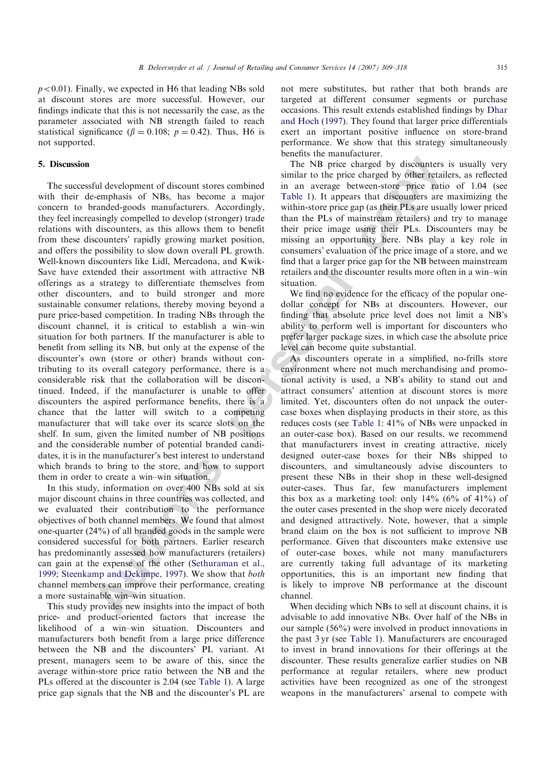$p < 0.01$ ). Finally, we expected in H6 that leading NBs sold at discount stores are more successful. However, our findings indicate that this is not necessarily the case, as the parameter associated with NB strength failed to reach statistical significance ( $\beta = 0.108$ ;  $p = 0.42$ ). Thus, H6 is not supported.

# 5. Discussion

In the computer of discount stores combined in the NB price danged by discominates combined in the control of the computer computer computer computer computer computer computer and a simulate of the computer computer and The successful development of discount stores combined with their de-emphasis of NBs, has become a major concern to branded-goods manufacturers. Accordingly, they feel increasingly compelled to develop (stronger) trade relations with discounters, as this allows them to benefit from these discounters' rapidly growing market position, and offers the possibility to slow down overall PL growth. Well-known discounters like Lidl, Mercadona, and Kwik-Save have extended their assortment with attractive NB offerings as a strategy to differentiate themselves from other discounters, and to build stronger and more sustainable consumer relations, thereby moving beyond a pure price-based competition. In trading NBs through the discount channel, it is critical to establish a win–win situation for both partners. If the manufacturer is able to benefit from selling its NB, but only at the expense of the discounter's own (store or other) brands without contributing to its overall category performance, there is a considerable risk that the collaboration will be discontinued. Indeed, if the manufacturer is unable to offer discounters the aspired performance benefits, there is a chance that the latter will switch to a competing manufacturer that will take over its scarce slots on the shelf. In sum, given the limited number of NB positions and the considerable number of potential branded candidates, it is in the manufacturer's best interest to understand which brands to bring to the store, and how to support them in order to create a win–win situation.

In this study, information on over 400 NBs sold at six major discount chains in three countries was collected, and we evaluated their contribution to the performance objectives of both channel members. We found that almost one-quarter (24%) of all branded goods in the sample were considered successful for both partners. Earlier research has predominantly assessed how manufacturers (retailers) can gain at the expense of the other (Sethuraman et al., 1999; Steenkamp and Dekimpe, 1997). We show that *both* channel members can improve their performance, creating a more sustainable win–win situation.

This study provides new insights into the impact of both price- and product-oriented factors that increase the likelihood of a win–win situation. Discounters and manufacturers both benefit from a large price difference between the NB and the discounters' PL variant. At present, managers seem to be aware of this, since the average within-store price ratio between the NB and the PLs offered at the discounter is 2.04 (see Table 1). A large price gap signals that the NB and the discounter's PL are not mere substitutes, but rather that both brands are targeted at different consumer segments or purchase occasions. This result extends established findings by Dhar and Hoch (1997). They found that larger price differentials exert an important positive influence on store-brand performance. We show that this strategy simultaneously benefits the manufacturer.

The NB price charged by discounters is usually very similar to the price charged by other retailers, as reflected in an average between-store price ratio of 1.04 (see Table 1). It appears that discounters are maximizing the within-store price gap (as their PLs are usually lower priced than the PLs of mainstream retailers) and try to manage their price image using their PLs. Discounters may be missing an opportunity here. NBs play a key role in consumers' evaluation of the price image of a store, and we find that a larger price gap for the NB between mainstream retailers and the discounter results more often in a win–win situation.

We find no evidence for the efficacy of the popular onedollar concept for NBs at discounters. However, our finding that absolute price level does not limit a NB's ability to perform well is important for discounters who prefer larger package sizes, in which case the absolute price level can become quite substantial.

As discounters operate in a simplified, no-frills store environment where not much merchandising and promotional activity is used, a NB's ability to stand out and attract consumers' attention at discount stores is more limited. Yet, discounters often do not unpack the outercase boxes when displaying products in their store, as this reduces costs (see Table 1: 41% of NBs were unpacked in an outer-case box). Based on our results, we recommend that manufacturers invest in creating attractive, nicely designed outer-case boxes for their NBs shipped to discounters, and simultaneously advise discounters to present these NBs in their shop in these well-designed outer-cases. Thus far, few manufacturers implement this box as a marketing tool: only  $14\%$  (6% of  $41\%$ ) of the outer cases presented in the shop were nicely decorated and designed attractively. Note, however, that a simple brand claim on the box is not sufficient to improve NB performance. Given that discounters make extensive use of outer-case boxes, while not many manufacturers are currently taking full advantage of its marketing opportunities, this is an important new finding that is likely to improve NB performance at the discount channel.

When deciding which NBs to sell at discount chains, it is advisable to add innovative NBs. Over half of the NBs in our sample (56%) were involved in product innovations in the past 3 yr (see Table 1). Manufacturers are encouraged to invest in brand innovations for their offerings at the discounter. These results generalize earlier studies on NB performance at regular retailers, where new product activities have been recognized as one of the strongest weapons in the manufacturers' arsenal to compete with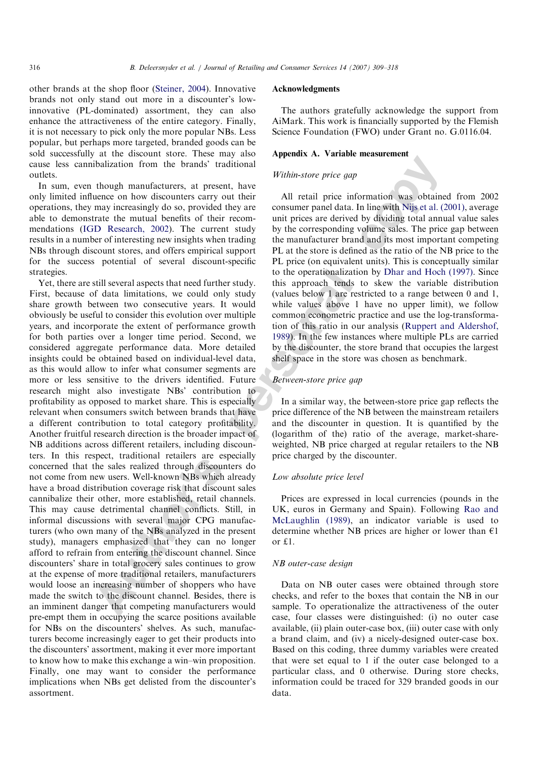other brands at the shop floor (Steiner, 2004). Innovative brands not only stand out more in a discounter's lowinnovative (PL-dominated) assortment, they can also enhance the attractiveness of the entire category. Finally, it is not necessary to pick only the more popular NBs. Less popular, but perhaps more targeted, branded goods can be sold successfully at the discount store. These may also cause less cannibalization from the brands' traditional outlets.

In sum, even though manufacturers, at present, have only limited influence on how discounters carry out their operations, they may increasingly do so, provided they are able to demonstrate the mutual benefits of their recommendations (IGD Research, 2002). The current study results in a number of interesting new insights when trading NBs through discount stores, and offers empirical support for the success potential of several discount-specific strategies.

The matrimum matches are readed to the branching in the branching of the proposition of the proposition of the proposition of the proposition and the proposition of the proposition and the proposition of the proposition o Yet, there are still several aspects that need further study. First, because of data limitations, we could only study share growth between two consecutive years. It would obviously be useful to consider this evolution over multiple years, and incorporate the extent of performance growth for both parties over a longer time period. Second, we considered aggregate performance data. More detailed insights could be obtained based on individual-level data, as this would allow to infer what consumer segments are more or less sensitive to the drivers identified. Future research might also investigate NBs' contribution to profitability as opposed to market share. This is especially relevant when consumers switch between brands that have a different contribution to total category profitability. Another fruitful research direction is the broader impact of NB additions across different retailers, including discounters. In this respect, traditional retailers are especially concerned that the sales realized through discounters do not come from new users. Well-known NBs which already have a broad distribution coverage risk that discount sales cannibalize their other, more established, retail channels. This may cause detrimental channel conflicts. Still, in informal discussions with several major CPG manufacturers (who own many of the NBs analyzed in the present study), managers emphasized that they can no longer afford to refrain from entering the discount channel. Since discounters' share in total grocery sales continues to grow at the expense of more traditional retailers, manufacturers would loose an increasing number of shoppers who have made the switch to the discount channel. Besides, there is an imminent danger that competing manufacturers would pre-empt them in occupying the scarce positions available for NBs on the discounters' shelves. As such, manufacturers become increasingly eager to get their products into the discounters' assortment, making it ever more important to know how to make this exchange a win–win proposition. Finally, one may want to consider the performance implications when NBs get delisted from the discounter's assortment.

# Acknowledgments

The authors gratefully acknowledge the support from AiMark. This work is financially supported by the Flemish Science Foundation (FWO) under Grant no. G.0116.04.

# Appendix A. Variable measurement

# *Within-store price gap*

All retail price information was obtained from 2002 consumer panel data. In line with Nijs et al. (2001), average unit prices are derived by dividing total annual value sales by the corresponding volume sales. The price gap between the manufacturer brand and its most important competing PL at the store is defined as the ratio of the NB price to the PL price (on equivalent units). This is conceptually similar to the operationalization by Dhar and Hoch (1997). Since this approach tends to skew the variable distribution (values below 1 are restricted to a range between 0 and 1, while values above 1 have no upper limit), we follow common econometric practice and use the log-transformation of this ratio in our analysis (Ruppert and Aldershof, 1989). In the few instances where multiple PLs are carried by the discounter, the store brand that occupies the largest shelf space in the store was chosen as benchmark.

# *Between-store price gap*

In a similar way, the between-store price gap reflects the price difference of the NB between the mainstream retailers and the discounter in question. It is quantified by the (logarithm of the) ratio of the average, market-shareweighted, NB price charged at regular retailers to the NB price charged by the discounter.

# *Low absolute price level*

Prices are expressed in local currencies (pounds in the UK, euros in Germany and Spain). Following Rao and McLaughlin (1989), an indicator variable is used to determine whether NB prices are higher or lower than  $\epsilon$ 1 or £1.

#### *NB outer-case design*

Data on NB outer cases were obtained through store checks, and refer to the boxes that contain the NB in our sample. To operationalize the attractiveness of the outer case, four classes were distinguished: (i) no outer case available, (ii) plain outer-case box, (iii) outer case with only a brand claim, and (iv) a nicely-designed outer-case box. Based on this coding, three dummy variables were created that were set equal to 1 if the outer case belonged to a particular class, and 0 otherwise. During store checks, information could be traced for 329 branded goods in our data.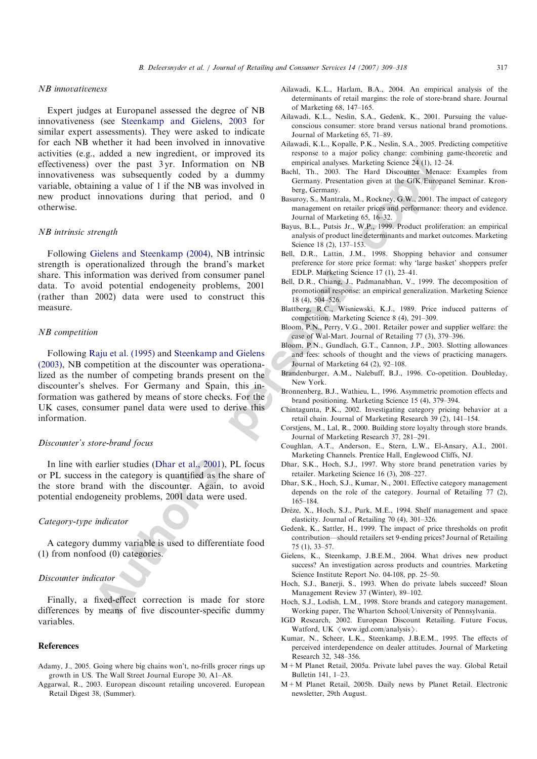# *NB innovativeness*

Expert judges at Europanel assessed the degree of NB innovativeness (see Steenkamp and Gielens, 2003 for similar expert assessments). They were asked to indicate for each NB whether it had been involved in innovative activities (e.g., added a new ingredient, or improved its effectiveness) over the past 3 yr. Information on NB innovativeness was subsequently coded by a dummy variable, obtaining a value of 1 if the NB was involved in new product innovations during that period, and 0 otherwise.

## *NB intrinsic strength*

Following Gielens and Steenkamp (2004), NB intrinsic strength is operationalized through the brand's market share. This information was derived from consumer panel data. To avoid potential endogeneity problems, 2001 (rather than 2002) data were used to construct this measure.

#### *NB competition*

over the past Special contents of the mainless shares in the season of the season of the season of the season of the season of the season of the season of the season of the season of the season of the season of the season Following Raju et al. (1995) and Steenkamp and Gielens (2003), NB competition at the discounter was operationalized as the number of competing brands present on the discounter's shelves. For Germany and Spain, this information was gathered by means of store checks. For the UK cases, consumer panel data were used to derive this information.

## *Discounter's store-brand focus*

In line with earlier studies (Dhar et al., 2001), PL focus or PL success in the category is quantified as the share of the store brand with the discounter. Again, to avoid potential endogeneity problems, 2001 data were used.

#### *Category-type indicator*

A category dummy variable is used to differentiate food (1) from nonfood (0) categories.

# *Discounter indicator*

Finally, a fixed-effect correction is made for store differences by means of five discounter-specific dummy variables.

# References

- Adamy, J., 2005. Going where big chains won't, no-frills grocer rings up growth in US. The Wall Street Journal Europe 30, A1–A8.
- Aggarwal, R., 2003. European discount retailing uncovered. European Retail Digest 38, (Summer).
- Ailawadi, K.L., Harlam, B.A., 2004. An empirical analysis of the determinants of retail margins: the role of store-brand share. Journal of Marketing 68, 147–165.
- Ailawadi, K.L., Neslin, S.A., Gedenk, K., 2001. Pursuing the valueconscious consumer: store brand versus national brand promotions. Journal of Marketing 65, 71–89.
- Ailawadi, K.L., Kopalle, P.K., Neslin, S.A., 2005. Predicting competitive response to a major policy change: combining game-theoretic and empirical analyses. Marketing Science 24 (1), 12–24.
- Bachl, Th., 2003. The Hard Discounter Menace: Examples from Germany. Presentation given at the GfK/Europanel Seminar. Kronberg, Germany.
- Basuroy, S., Mantrala, M., Rockney, G.W., 2001. The impact of category management on retailer prices and performance: theory and evidence. Journal of Marketing 65, 16–32.
- Bayus, B.L., Putsis Jr., W.P., 1999. Product proliferation: an empirical analysis of product line determinants and market outcomes. Marketing Science 18 (2), 137–153.
- Bell, D.R., Lattin, J.M., 1998. Shopping behavior and consumer preference for store price format: why 'large basket' shoppers prefer EDLP. Marketing Science 17 (1), 23–41.
- Bell, D.R., Chiang, J., Padmanabhan, V., 1999. The decomposition of promotional response: an empirical generalization. Marketing Science 18 (4), 504–526.
- Blattberg, R.C., Wisniewski, K.J., 1989. Price induced patterns of competition. Marketing Science 8 (4), 291–309.
- Bloom, P.N., Perry, V.G., 2001. Retailer power and supplier welfare: the case of Wal-Mart. Journal of Retailing 77 (3), 379–396.
- Bloom, P.N., Gundlach, G.T., Cannon, J.P., 2003. Slotting allowances and fees: schools of thought and the views of practicing managers. Journal of Marketing 64 (2), 92–108.
- Brandenburger, A.M., Nalebuff, B.J., 1996. Co-opetition. Doubleday, New York.
- Bronnenberg, B.J., Wathieu, L., 1996. Asymmetric promotion effects and brand positioning. Marketing Science 15 (4), 379–394.
- Chintagunta, P.K., 2002. Investigating category pricing behavior at a retail chain. Journal of Marketing Research 39 (2), 141–154.
- Corstjens, M., Lal, R., 2000. Building store loyalty through store brands. Journal of Marketing Research 37, 281–291.
- Coughlan, A.T., Anderson, E., Stern, L.W., El-Ansary, A.I., 2001. Marketing Channels. Prentice Hall, Englewood Cliffs, NJ.
- Dhar, S.K., Hoch, S.J., 1997. Why store brand penetration varies by retailer. Marketing Science 16 (3), 208–227.
- Dhar, S.K., Hoch, S.J., Kumar, N., 2001. Effective category management depends on the role of the category. Journal of Retailing 77 (2), 165–184.
- Drèze, X., Hoch, S.J., Purk, M.E., 1994. Shelf management and space elasticity. Journal of Retailing 70 (4), 301–326.
- Gedenk, K., Sattler, H., 1999. The impact of price thresholds on profit contribution—should retailers set 9-ending prices? Journal of Retailing 75 (1), 33–57.
- Gielens, K., Steenkamp, J.B.E.M., 2004. What drives new product success? An investigation across products and countries. Marketing Science Institute Report No. 04-108, pp. 25–50.
- Hoch, S.J., Banerji, S., 1993. When do private labels succeed? Sloan Management Review 37 (Winter), 89–102.
- Hoch, S.J., Lodish, L.M., 1998. Store brands and category management. Working paper, The Wharton School/University of Pennsylvania.
- IGD Research, 2002. European Discount Retailing. Future Focus, Watford, UK  $\langle$  www.igd.com/analysis $\rangle$ .
- Kumar, N., Scheer, L.K., Steenkamp, J.B.E.M., 1995. The effects of perceived interdependence on dealer attitudes. Journal of Marketing Research 32, 348–356.
- M+M Planet Retail, 2005a. Private label paves the way. Global Retail Bulletin 141, 1–23.
- M+M Planet Retail, 2005b. Daily news by Planet Retail. Electronic newsletter, 29th August.